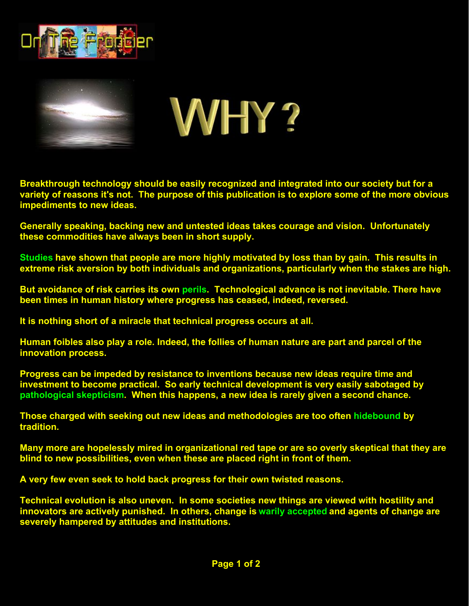



WHY?

**Breakthrough technology should be easily recognized and integrated into our society but for a variety of reasons it's not. The purpose of this publication is to explore some of the more obvious impediments to new ideas.**

**Generally speaking, backing new and untested ideas takes courage and vision. Unfortunately these commodities have always been in short supply.**

**[Studies](https://filedn.com/l9pHfc29qBEzDUUEoHrbsHJ/w1.pdf) have shown that people are more highly motivated by loss than by gain. This results in extreme risk aversion by both individuals and organizations, particularly when the stakes are high.**

**But avoidance of risk carries its own [perils](https://filedn.com/l9pHfc29qBEzDUUEoHrbsHJ/w2.pdf). Technological advance is not inevitable. There have been times in human history where progress has ceased, indeed, reversed.**

**It is nothing short of a miracle that technical progress occurs at all.**

**Human foibles also play a role. Indeed, the follies of human nature are part and parcel of the innovation process.**

**Progress can be impeded by resistance to inventions because new ideas require time and investment to become practical. So early technical development is very easily sabotaged by [pathological skepticism](https://filedn.com/l9pHfc29qBEzDUUEoHrbsHJ/w3.pdf). When this happens, a new idea is rarely given a second chance.**

**Those charged with seeking out new ideas and methodologies are too often [hidebound](https://filedn.com/l9pHfc29qBEzDUUEoHrbsHJ/w4.pdf) by tradition.**

**Many more are hopelessly mired in organizational red tape or are so overly skeptical that they are blind to new possibilities, even when these are placed right in front of them.**

**A very few even seek to hold back progress for their own twisted reasons.**

**Technical evolution is also uneven. In some societies new things are viewed with hostility and innovators are actively punished. In others, change is [warily accepted](https://filedn.com/l9pHfc29qBEzDUUEoHrbsHJ/w5.pdf) and agents of change are severely hampered by attitudes and institutions.**